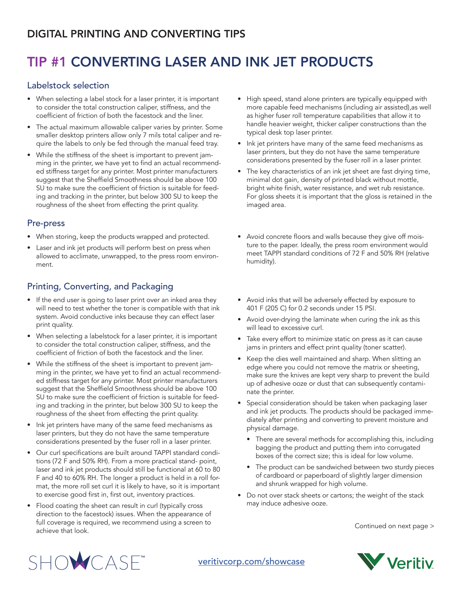## DIGITAL PRINTING AND CONVERTING TIPS

# TIP #1 CONVERTING LASER AND INK JET PRODUCTS

#### Labelstock selection

- When selecting a label stock for a laser printer, it is important to consider the total construction caliper, stiffness, and the coefficient of friction of both the facestock and the liner.
- The actual maximum allowable caliper varies by printer. Some smaller desktop printers allow only 7 mils total caliper and require the labels to only be fed through the manual feed tray.
- While the stiffness of the sheet is important to prevent jamming in the printer, we have yet to find an actual recommended stiffness target for any printer. Most printer manufacturers suggest that the Sheffield Smoothness should be above 100 SU to make sure the coefficient of friction is suitable for feeding and tracking in the printer, but below 300 SU to keep the roughness of the sheet from effecting the print quality.

### Pre-press

- When storing, keep the products wrapped and protected.
- Laser and ink jet products will perform best on press when allowed to acclimate, unwrapped, to the press room environment.

## Printing, Converting, and Packaging

- If the end user is going to laser print over an inked area they will need to test whether the toner is compatible with that ink system. Avoid conductive inks because they can effect laser print quality.
- When selecting a labelstock for a laser printer, it is important to consider the total construction caliper, stiffness, and the coefficient of friction of both the facestock and the liner.
- While the stiffness of the sheet is important to prevent jamming in the printer, we have yet to find an actual recommended stiffness target for any printer. Most printer manufacturers suggest that the Sheffield Smoothness should be above 100 SU to make sure the coefficient of friction is suitable for feeding and tracking in the printer, but below 300 SU to keep the roughness of the sheet from effecting the print quality.
- Ink jet printers have many of the same feed mechanisms as laser printers, but they do not have the same temperature considerations presented by the fuser roll in a laser printer.
- Our curl specifications are built around TAPPI standard conditions (72 F and 50% RH). From a more practical stand- point, laser and ink jet products should still be functional at 60 to 80 F and 40 to 60% RH. The longer a product is held in a roll format, the more roll set curl it is likely to have, so it is important to exercise good first in, first out, inventory practices.
- Flood coating the sheet can result in curl (typically cross direction to the facestock) issues. When the appearance of full coverage is required, we recommend using a screen to achieve that look.
- High speed, stand alone printers are typically equipped with more capable feed mechanisms (including air assisted),as well as higher fuser roll temperature capabilities that allow it to handle heavier weight, thicker caliper constructions than the typical desk top laser printer.
- Ink jet printers have many of the same feed mechanisms as laser printers, but they do not have the same temperature considerations presented by the fuser roll in a laser printer.
- The key characteristics of an ink jet sheet are fast drying time, minimal dot gain, density of printed black without mottle, bright white finish, water resistance, and wet rub resistance. For gloss sheets it is important that the gloss is retained in the imaged area.
- Avoid concrete floors and walls because they give off moisture to the paper. Ideally, the press room environment would meet TAPPI standard conditions of 72 F and 50% RH (relative humidity).
- Avoid inks that will be adversely effected by exposure to 401 F (205 C) for 0.2 seconds under 15 PSI.
- Avoid over-drying the laminate when curing the ink as this will lead to excessive curl.
- Take every effort to minimize static on press as it can cause jams in printers and effect print quality (toner scatter).
- Keep the dies well maintained and sharp. When slitting an edge where you could not remove the matrix or sheeting, make sure the knives are kept very sharp to prevent the build up of adhesive ooze or dust that can subsequently contaminate the printer.
- Special consideration should be taken when packaging laser and ink jet products. The products should be packaged immediately after printing and converting to prevent moisture and physical damage.
	- There are several methods for accomplishing this, including bagging the product and putting them into corrugated boxes of the correct size; this is ideal for low volume.
	- The product can be sandwiched between two sturdy pieces of cardboard or paperboard of slightly larger dimension and shrunk wrapped for high volume.
- Do not over stack sheets or cartons; the weight of the stack may induce adhesive ooze.

Continued on next page >



# SHOWCASE<sup>"</sup>